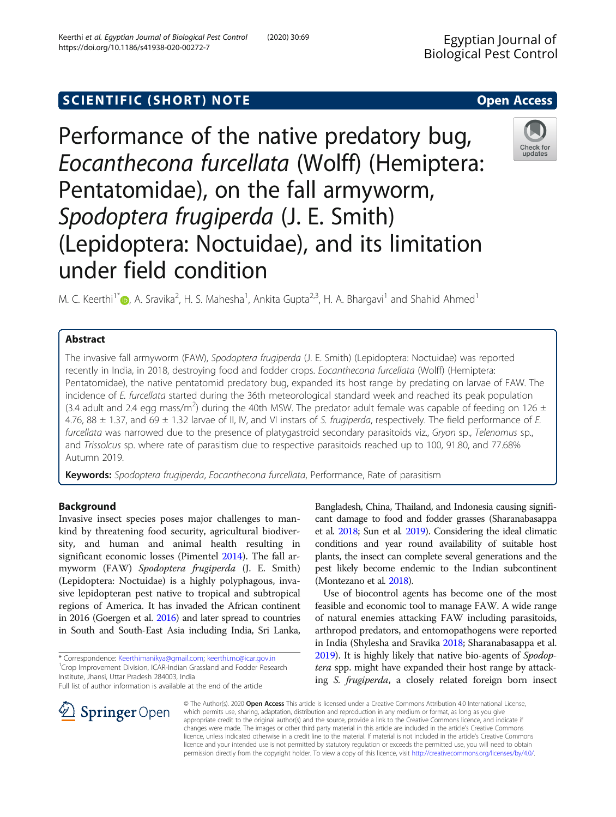# SCIENTIFIC (SHORT) NOTE And the open Access open Access

Performance of the native predatory bug, Eocanthecona furcellata (Wolff) (Hemiptera: Pentatomidae), on the fall armyworm, Spodoptera frugiperda (J. E. Smith) (Lepidoptera: Noctuidae), and its limitation under field condition

M. C. Keerthi<sup>1[\\*](http://orcid.org/0000-0001-6934-9807)</sup> D, A. Sravika<sup>2</sup>, H. S. Mahesha<sup>1</sup>, Ankita Gupta<sup>2,3</sup>, H. A. Bhargavi<sup>1</sup> and Shahid Ahmed<sup>1</sup>

# Abstract

The invasive fall armyworm (FAW), Spodoptera frugiperda (J. E. Smith) (Lepidoptera: Noctuidae) was reported recently in India, in 2018, destroying food and fodder crops. Eocanthecona furcellata (Wolff) (Hemiptera: Pentatomidae), the native pentatomid predatory bug, expanded its host range by predating on larvae of FAW. The incidence of E. furcellata started during the 36th meteorological standard week and reached its peak population (3.4 adult and 2.4 egg mass/m<sup>2</sup>) during the 40th MSW. The predator adult female was capable of feeding on 126 ± 4.76, 88  $\pm$  1.37, and 69  $\pm$  1.32 larvae of II, IV, and VI instars of S. frugiperda, respectively. The field performance of E. furcellata was narrowed due to the presence of platygastroid secondary parasitoids viz., Gryon sp., Telenomus sp., and Trissolcus sp. where rate of parasitism due to respective parasitoids reached up to 100, 91.80, and 77.68% Autumn 2019.

Keywords: Spodoptera frugiperda, Eocanthecona furcellata, Performance, Rate of parasitism

## Background

Invasive insect species poses major challenges to mankind by threatening food security, agricultural biodiversity, and human and animal health resulting in significant economic losses (Pimentel [2014](#page-3-0)). The fall armyworm (FAW) Spodoptera frugiperda (J. E. Smith) (Lepidoptera: Noctuidae) is a highly polyphagous, invasive lepidopteran pest native to tropical and subtropical regions of America. It has invaded the African continent in 2016 (Goergen et al. [2016](#page-3-0)) and later spread to countries in South and South-East Asia including India, Sri Lanka,

\* Correspondence: [Keerthimanikya@gmail.com;](mailto:Keerthimanikya@gmail.com) [keerthi.mc@icar.gov.in](mailto:keerthi.mc@icar.gov.in) <sup>1</sup> <sup>1</sup> Crop Improvement Division, ICAR-Indian Grassland and Fodder Research Institute, Jhansi, Uttar Pradesh 284003, India

Full list of author information is available at the end of the article

 $\perp$  Springer Open

Bangladesh, China, Thailand, and Indonesia causing significant damage to food and fodder grasses (Sharanabasappa et al. [2018](#page-3-0); Sun et al. [2019](#page-3-0)). Considering the ideal climatic conditions and year round availability of suitable host plants, the insect can complete several generations and the pest likely become endemic to the Indian subcontinent (Montezano et al. [2018\)](#page-3-0).

Use of biocontrol agents has become one of the most feasible and economic tool to manage FAW. A wide range of natural enemies attacking FAW including parasitoids, arthropod predators, and entomopathogens were reported in India (Shylesha and Sravika [2018;](#page-3-0) Sharanabasappa et al. [2019\)](#page-3-0). It is highly likely that native bio-agents of *Spodop*tera spp. might have expanded their host range by attacking S. frugiperda, a closely related foreign born insect

© The Author(s). 2020 Open Access This article is licensed under a Creative Commons Attribution 4.0 International License, which permits use, sharing, adaptation, distribution and reproduction in any medium or format, as long as you give appropriate credit to the original author(s) and the source, provide a link to the Creative Commons licence, and indicate if changes were made. The images or other third party material in this article are included in the article's Creative Commons licence, unless indicated otherwise in a credit line to the material. If material is not included in the article's Creative Commons licence and your intended use is not permitted by statutory regulation or exceeds the permitted use, you will need to obtain permission directly from the copyright holder. To view a copy of this licence, visit <http://creativecommons.org/licenses/by/4.0/>.





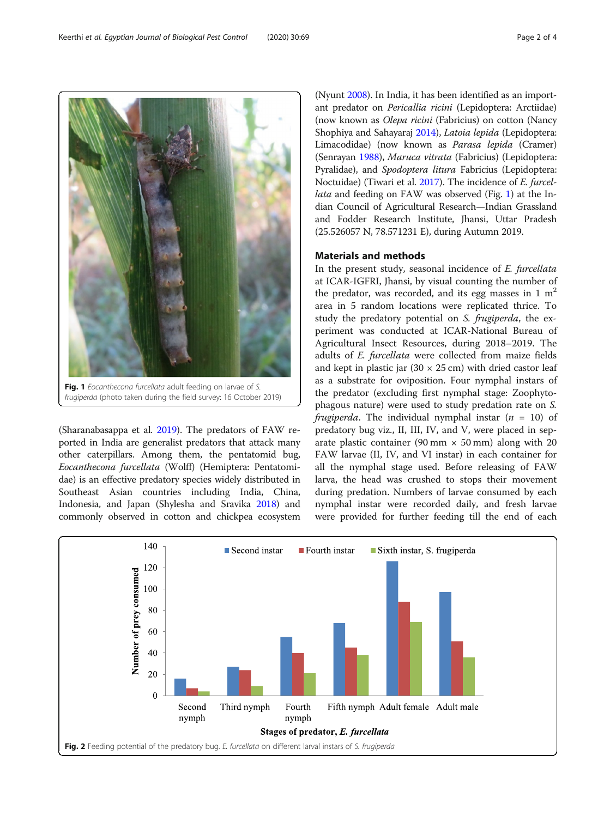frugiperda (photo taken during the field survey: 16 October 2019)

Fig. 1 Eocanthecona furcellata adult feeding on larvae of S.

(Sharanabasappa et al. [2019\)](#page-3-0). The predators of FAW reported in India are generalist predators that attack many other caterpillars. Among them, the pentatomid bug, Eocanthecona furcellata (Wolff) (Hemiptera: Pentatomidae) is an effective predatory species widely distributed in Southeast Asian countries including India, China, Indonesia, and Japan (Shylesha and Sravika [2018](#page-3-0)) and commonly observed in cotton and chickpea ecosystem

<span id="page-1-0"></span>(Nyunt [2008](#page-3-0)). In India, it has been identified as an important predator on Pericallia ricini (Lepidoptera: Arctiidae) (now known as Olepa ricini (Fabricius) on cotton (Nancy Shophiya and Sahayaraj [2014](#page-3-0)), Latoia lepida (Lepidoptera: Limacodidae) (now known as Parasa lepida (Cramer) (Senrayan [1988\)](#page-3-0), Maruca vitrata (Fabricius) (Lepidoptera: Pyralidae), and Spodoptera litura Fabricius (Lepidoptera: Noctuidae) (Tiwari et al. [2017\)](#page-3-0). The incidence of E. furcellata and feeding on FAW was observed (Fig. 1) at the Indian Council of Agricultural Research—Indian Grassland and Fodder Research Institute, Jhansi, Uttar Pradesh (25.526057 N, 78.571231 E), during Autumn 2019.

# Materials and methods

In the present study, seasonal incidence of E. furcellata at ICAR-IGFRI, Jhansi, by visual counting the number of the predator, was recorded, and its egg masses in 1  $m<sup>2</sup>$ area in 5 random locations were replicated thrice. To study the predatory potential on S. frugiperda, the experiment was conducted at ICAR-National Bureau of Agricultural Insect Resources, during 2018–2019. The adults of E. furcellata were collected from maize fields and kept in plastic jar  $(30 \times 25 \text{ cm})$  with dried castor leaf as a substrate for oviposition. Four nymphal instars of the predator (excluding first nymphal stage: Zoophytophagous nature) were used to study predation rate on S. frugiperda. The individual nymphal instar  $(n = 10)$  of predatory bug viz., II, III, IV, and V, were placed in separate plastic container (90 mm  $\times$  50 mm) along with 20 FAW larvae (II, IV, and VI instar) in each container for all the nymphal stage used. Before releasing of FAW larva, the head was crushed to stops their movement during predation. Numbers of larvae consumed by each nymphal instar were recorded daily, and fresh larvae were provided for further feeding till the end of each



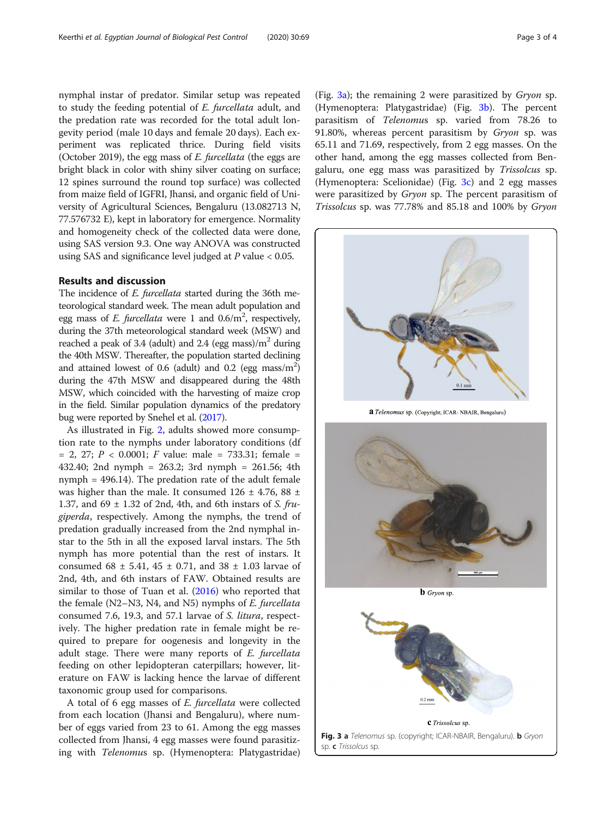nymphal instar of predator. Similar setup was repeated to study the feeding potential of E. furcellata adult, and the predation rate was recorded for the total adult longevity period (male 10 days and female 20 days). Each experiment was replicated thrice. During field visits (October 2019), the egg mass of E. furcellata (the eggs are bright black in color with shiny silver coating on surface; 12 spines surround the round top surface) was collected from maize field of IGFRI, Jhansi, and organic field of University of Agricultural Sciences, Bengaluru (13.082713 N, 77.576732 E), kept in laboratory for emergence. Normality and homogeneity check of the collected data were done, using SAS version 9.3. One way ANOVA was constructed using SAS and significance level judged at  $P$  value  $< 0.05$ .

## Results and discussion

The incidence of *E. furcellata* started during the 36th meteorological standard week. The mean adult population and egg mass of *E. furcellata* were 1 and  $0.6/m^2$ , respectively, during the 37th meteorological standard week (MSW) and reached a peak of 3.4 (adult) and 2.4 (egg mass)/ $m<sup>2</sup>$  during the 40th MSW. Thereafter, the population started declining and attained lowest of 0.6 (adult) and 0.2 (egg mass/ $m<sup>2</sup>$ ) during the 47th MSW and disappeared during the 48th MSW, which coincided with the harvesting of maize crop in the field. Similar population dynamics of the predatory bug were reported by Snehel et al. [\(2017](#page-3-0)).

As illustrated in Fig. [2](#page-1-0), adults showed more consumption rate to the nymphs under laboratory conditions (df  $= 2, 27; P < 0.0001; F$  value: male  $= 733.31;$  female  $= 2$ 432.40; 2nd nymph = 263.2; 3rd nymph = 261.56; 4th nymph = 496.14). The predation rate of the adult female was higher than the male. It consumed  $126 \pm 4.76$ , 88  $\pm$ 1.37, and 69  $\pm$  1.32 of 2nd, 4th, and 6th instars of S. frugiperda, respectively. Among the nymphs, the trend of predation gradually increased from the 2nd nymphal instar to the 5th in all the exposed larval instars. The 5th nymph has more potential than the rest of instars. It consumed  $68 \pm 5.41$ ,  $45 \pm 0.71$ , and  $38 \pm 1.03$  larvae of 2nd, 4th, and 6th instars of FAW. Obtained results are similar to those of Tuan et al. ([2016\)](#page-3-0) who reported that the female (N2–N3, N4, and N5) nymphs of E. furcellata consumed 7.6, 19.3, and 57.1 larvae of S. litura, respectively. The higher predation rate in female might be required to prepare for oogenesis and longevity in the adult stage. There were many reports of E. furcellata feeding on other lepidopteran caterpillars; however, literature on FAW is lacking hence the larvae of different taxonomic group used for comparisons.

A total of 6 egg masses of E. furcellata were collected from each location (Jhansi and Bengaluru), where number of eggs varied from 23 to 61. Among the egg masses collected from Jhansi, 4 egg masses were found parasitizing with Telenomus sp. (Hymenoptera: Platygastridae) (Fig.  $3a$ ); the remaining 2 were parasitized by *Gryon* sp. (Hymenoptera: Platygastridae) (Fig. 3b). The percent parasitism of Telenomus sp. varied from 78.26 to 91.80%, whereas percent parasitism by *Gryon* sp. was 65.11 and 71.69, respectively, from 2 egg masses. On the other hand, among the egg masses collected from Bengaluru, one egg mass was parasitized by Trissolcus sp. (Hymenoptera: Scelionidae) (Fig.  $3c$ ) and 2 egg masses were parasitized by Gryon sp. The percent parasitism of Trissolcus sp. was 77.78% and 85.18 and 100% by Gryon